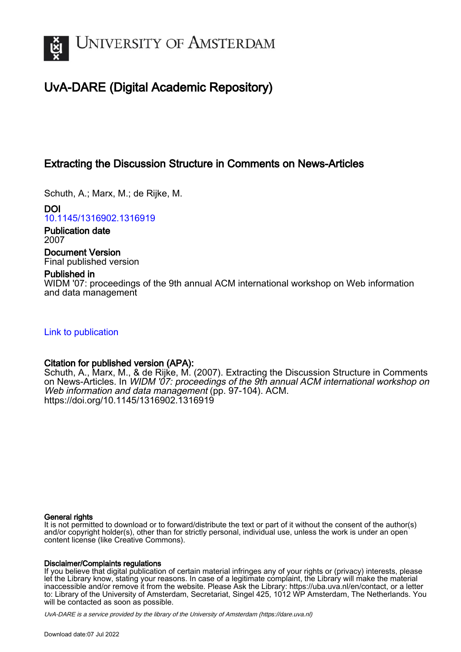

# UvA-DARE (Digital Academic Repository)

# Extracting the Discussion Structure in Comments on News-Articles

Schuth, A.; Marx, M.; de Rijke, M.

DOI [10.1145/1316902.1316919](https://doi.org/10.1145/1316902.1316919)

Publication date 2007

Document Version Final published version

# Published in

WIDM '07: proceedings of the 9th annual ACM international workshop on Web information and data management

[Link to publication](https://dare.uva.nl/personal/pure/en/publications/extracting-the-discussion-structure-in-comments-on-newsarticles(9ece9046-3033-4804-99b8-ebdf55decd7d).html)

# Citation for published version (APA):

Schuth, A., Marx, M., & de Rijke, M. (2007). Extracting the Discussion Structure in Comments on News-Articles. In WIDM '07: proceedings of the 9th annual ACM international workshop on Web information and data management (pp. 97-104). ACM. <https://doi.org/10.1145/1316902.1316919>

### General rights

It is not permitted to download or to forward/distribute the text or part of it without the consent of the author(s) and/or copyright holder(s), other than for strictly personal, individual use, unless the work is under an open content license (like Creative Commons).

### Disclaimer/Complaints regulations

If you believe that digital publication of certain material infringes any of your rights or (privacy) interests, please let the Library know, stating your reasons. In case of a legitimate complaint, the Library will make the material inaccessible and/or remove it from the website. Please Ask the Library: https://uba.uva.nl/en/contact, or a letter to: Library of the University of Amsterdam, Secretariat, Singel 425, 1012 WP Amsterdam, The Netherlands. You will be contacted as soon as possible.

UvA-DARE is a service provided by the library of the University of Amsterdam (http*s*://dare.uva.nl)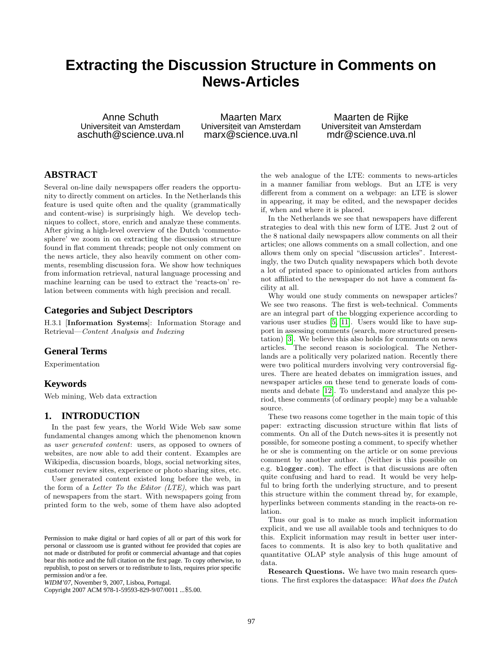# **Extracting the Discussion Structure in Comments on News-Articles**

Anne Schuth Universiteit van Amsterdam aschuth@science.uva.nl

Maarten Marx Universiteit van Amsterdam marx@science.uva.nl

Maarten de Rijke Universiteit van Amsterdam mdr@science.uva.nl

# **ABSTRACT**

Several on-line daily newspapers offer readers the opportunity to directly comment on articles. In the Netherlands this feature is used quite often and the quality (grammatically and content-wise) is surprisingly high. We develop techniques to collect, store, enrich and analyze these comments. After giving a high-level overview of the Dutch 'commentosphere' we zoom in on extracting the discussion structure found in flat comment threads; people not only comment on the news article, they also heavily comment on other comments, resembling discussion fora. We show how techniques from information retrieval, natural language processing and machine learning can be used to extract the 'reacts-on' relation between comments with high precision and recall.

## **Categories and Subject Descriptors**

H.3.1 [Information Systems]: Information Storage and Retrieval—Content Analysis and Indexing

#### **General Terms**

Experimentation

## **Keywords**

Web mining, Web data extraction

## **1. INTRODUCTION**

In the past few years, the World Wide Web saw some fundamental changes among which the phenomenon known as user generated content: users, as opposed to owners of websites, are now able to add their content. Examples are Wikipedia, discussion boards, blogs, social networking sites, customer review sites, experience or photo sharing sites, etc.

User generated content existed long before the web, in the form of a Letter To the Editor (LTE), which was part of newspapers from the start. With newspapers going from printed form to the web, some of them have also adopted

Copyright 2007 ACM 978-1-59593-829-9/07/0011 ...\$5.00.

the web analogue of the LTE: comments to news-articles in a manner familiar from weblogs. But an LTE is very different from a comment on a webpage: an LTE is slower in appearing, it may be edited, and the newspaper decides if, when and where it is placed.

In the Netherlands we see that newspapers have different strategies to deal with this new form of LTE. Just 2 out of the 8 national daily newspapers allow comments on all their articles; one allows comments on a small collection, and one allows them only on special "discussion articles". Interestingly, the two Dutch quality newspapers which both devote a lot of printed space to opinionated articles from authors not affiliated to the newspaper do not have a comment facility at all.

Why would one study comments on newspaper articles? We see two reasons. The first is web-technical. Comments are an integral part of the blogging experience according to various user studies [\[5,](#page-8-0) [11\]](#page-8-1). Users would like to have support in assessing comments (search, more structured presentation) [\[3\]](#page-8-2). We believe this also holds for comments on news articles. The second reason is sociological. The Netherlands are a politically very polarized nation. Recently there were two political murders involving very controversial figures. There are heated debates on immigration issues, and newspaper articles on these tend to generate loads of comments and debate [\[12\]](#page-8-3). To understand and analyze this period, these comments (of ordinary people) may be a valuable source.

These two reasons come together in the main topic of this paper: extracting discussion structure within flat lists of comments. On all of the Dutch news-sites it is presently not possible, for someone posting a comment, to specify whether he or she is commenting on the article or on some previous comment by another author. (Neither is this possible on e.g. blogger.com). The effect is that discussions are often quite confusing and hard to read. It would be very helpful to bring forth the underlying structure, and to present this structure within the comment thread by, for example, hyperlinks between comments standing in the reacts-on relation.

Thus our goal is to make as much implicit information explicit, and we use all available tools and techniques to do this. Explicit information may result in better user interfaces to comments. It is also key to both qualitative and quantitative OLAP style analysis of this huge amount of data.

Research Questions. We have two main research questions. The first explores the dataspace: What does the Dutch

Permission to make digital or hard copies of all or part of this work for personal or classroom use is granted without fee provided that copies are not made or distributed for profit or commercial advantage and that copies bear this notice and the full citation on the first page. To copy otherwise, to republish, to post on servers or to redistribute to lists, requires prior specific permission and/or a fee.

*WIDM'07,* November 9, 2007, Lisboa, Portugal.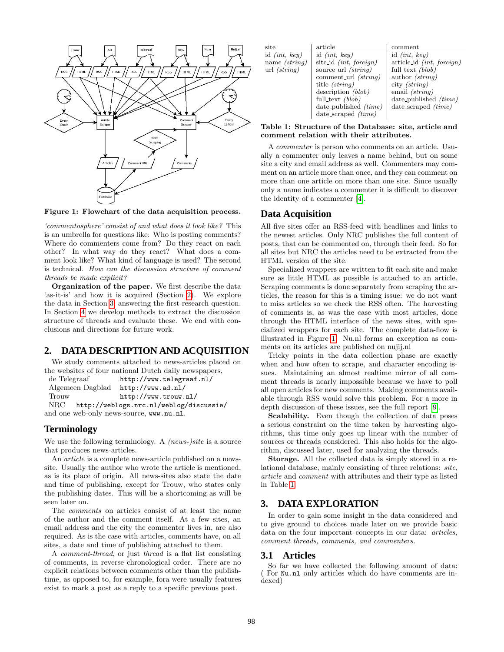

<span id="page-2-2"></span>Figure 1: Flowchart of the data acquisition process.

'commentosphere' consist of and what does it look like? This is an umbrella for questions like: Who is posting comments? Where do commenters come from? Do they react on each other? In what way do they react? What does a comment look like? What kind of language is used? The second is technical. How can the discussion structure of comment threads be made explicit?

Organization of the paper. We first describe the data 'as-it-is' and how it is acquired (Section [2\)](#page-2-0). We explore the data in Section [3,](#page-2-1) answering the first research question. In Section [4](#page-4-0) we develop methods to extract the discussion structure of threads and evaluate these. We end with conclusions and directions for future work.

#### <span id="page-2-0"></span>**2. DATA DESCRIPTION AND ACQUISITION**

We study comments attached to news-articles placed on the websites of four national Dutch daily newspapers,

| de Telegraaf |                  | http://www.telegraaf.nl/                 |
|--------------|------------------|------------------------------------------|
|              | Algemeen Dagblad | http://www.add.nl/                       |
| Trouw        |                  | http://www.trouw.nl/                     |
| $\rm NRC$    |                  | http://weblogs.nrc.nl/weblog/discussie/  |
|              |                  | and one web-only news-source, www.nu.nl. |

## **Terminology**

We use the following terminology. A *(news-)site* is a source that produces news-articles.

An article is a complete news-article published on a newssite. Usually the author who wrote the article is mentioned, as is its place of origin. All news-sites also state the date and time of publishing, except for Trouw, who states only the publishing dates. This will be a shortcoming as will be seen later on.

The comments on articles consist of at least the name of the author and the comment itself. At a few sites, an email address and the city the commenter lives in, are also required. As is the case with articles, comments have, on all sites, a date and time of publishing attached to them.

A comment-thread, or just thread is a flat list consisting of comments, in reverse chronological order. There are no explicit relations between comments other than the publishtime, as opposed to, for example, fora were usually features exist to mark a post as a reply to a specific previous post.

| site            | article                    | comment                     |
|-----------------|----------------------------|-----------------------------|
| id $(int, key)$ | id <i>(int, key)</i>       | id $(int, key)$             |
| name $(string)$ | site_id $(int, foreign)$   | $article_id$ (int, foreign) |
| url $(strinq)$  | source_url <i>(string)</i> | full_text $(blob)$          |
|                 | comment url $(strinq)$     | author $(strinq)$           |
|                 | title <i>(string)</i>      | city $(strinq)$             |
|                 | description (blob)         | email $(string)$            |
|                 | full_text $(blob)$         | date_published $(time)$     |
|                 | date_published $(time)$    | date_scraped $(time)$       |
|                 | date_scraped (time)        |                             |

#### <span id="page-2-3"></span>Table 1: Structure of the Database: site, article and comment relation with their attributes.

A commenter is person who comments on an article. Usually a commenter only leaves a name behind, but on some site a city and email address as well. Commenters may comment on an article more than once, and they can comment on more than one article on more than one site. Since usually only a name indicates a commenter it is difficult to discover the identity of a commenter [\[4\]](#page-8-4).

#### **Data Acquisition**

All five sites offer an RSS-feed with headlines and links to the newest articles. Only NRC publishes the full content of posts, that can be commented on, through their feed. So for all sites but NRC the articles need to be extracted from the HTML version of the site.

Specialized wrappers are written to fit each site and make sure as little HTML as possible is attached to an article. Scraping comments is done separately from scraping the articles, the reason for this is a timing issue: we do not want to miss articles so we check the RSS often. The harvesting of comments is, as was the case with most articles, done through the HTML interface of the news sites, with specialized wrappers for each site. The complete data-flow is illustrated in Figure [1.](#page-2-2) Nu.nl forms an exception as comments on its articles are published on nujij.nl

Tricky points in the data collection phase are exactly when and how often to scrape, and character encoding issues. Maintaining an almost realtime mirror of all comment threads is nearly impossible because we have to poll all open articles for new comments. Making comments available through RSS would solve this problem. For a more in depth discussion of these issues, see the full report [\[9\]](#page-8-5).

Scalability. Even though the collection of data poses a serious constraint on the time taken by harvesting algorithms, this time only goes up linear with the number of sources or threads considered. This also holds for the algorithm, discussed later, used for analyzing the threads.

Storage. All the collected data is simply stored in a relational database, mainly consisting of three relations: site, article and comment with attributes and their type as listed in Table [1.](#page-2-3)

#### <span id="page-2-1"></span>**3. DATA EXPLORATION**

In order to gain some insight in the data considered and to give ground to choices made later on we provide basic data on the four important concepts in our data: *articles*, comment threads, comments, and commenters.

#### **3.1 Articles**

So far we have collected the following amount of data: For Nu.nl only articles which do have comments are indexed)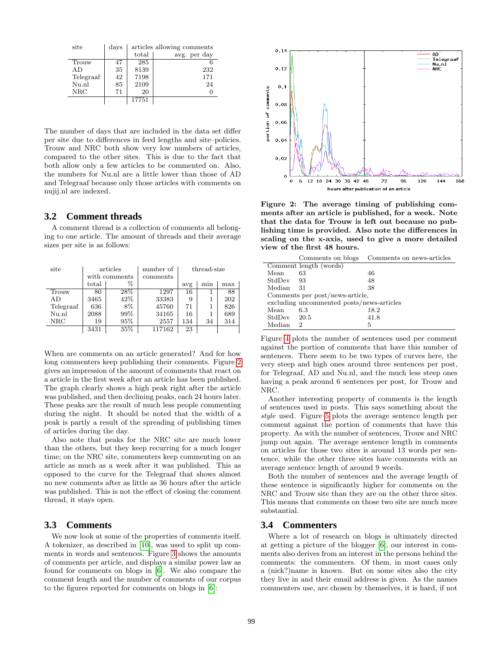| site       | days |       | articles allowing comments |
|------------|------|-------|----------------------------|
|            |      | total | avg. per day               |
| Trouw      | 47   | 285   |                            |
| AD         | 35   | 8139  | 232                        |
| Telegraaf  | 42   | 7198  | 171                        |
| Nu.nl      | 85   | 2109  | 24                         |
| <b>NRC</b> | 71   | 20    |                            |
|            |      | 17751 |                            |

The number of days that are included in the data set differ per site due to differences in feed lengths and site–policies. Trouw and NRC both show very low numbers of articles, compared to the other sites. This is due to the fact that both allow only a few articles to be commented on. Also, the numbers for Nu.nl are a little lower than those of AD and Telegraaf because only those articles with comments on nujij.nl are indexed.

#### **3.2 Comment threads**

A comment thread is a collection of comments all belonging to one article. The amount of threads and their average sizes per site is as follows:

| site       | articles      |      | number of | thread-size |     |     |
|------------|---------------|------|-----------|-------------|-----|-----|
|            | with comments |      | comments  |             |     |     |
|            | total         | %    |           | avg         | min | max |
| Trouw      | 80            | 28\% | 1297      | 16          |     | 88  |
| AD         | 3465          | 42\% | 33383     | 9           |     | 202 |
| Telegraaf  | 636           | 8%   | 45760     | 71          |     | 826 |
| Nu.nl      | 2088          | 99%  | 34165     | 16          |     | 689 |
| <b>NRC</b> | 19            | 95%  | 2557      | 134         | 34  | 314 |
|            | 3431          | 35%  | 117162    | 23          |     |     |

When are comments on an article generated? And for how long commenters keep publishing their comments. Figure [2](#page-3-0) gives an impression of the amount of comments that react on a article in the first week after an article has been published. The graph clearly shows a high peak right after the article was published, and then declining peaks, each 24 hours later. These peaks are the result of much less people commenting during the night. It should be noted that the width of a peak is partly a result of the spreading of publishing times of articles during the day.

Also note that peaks for the NRC site are much lower than the others, but they keep recurring for a much longer time; on the NRC site, commenters keep commenting on an article as much as a week after it was published. This as opposed to the curve for the Telegraaf that shows almost no new comments after as little as 36 hours after the article was published. This is not the effect of closing the comment thread, it stays open.

## **3.3 Comments**

We now look at some of the properties of comments itself. A tokenizer, as described in [\[10\]](#page-8-6), was used to split up comments in words and sentences. Figure [3](#page-4-1) shows the amounts of comments per article, and displays a similar power law as found for comments on blogs in [\[6\]](#page-8-7). We also compare the comment length and the number of comments of our corpus to the figures reported for comments on blogs in [\[6\]](#page-8-7):



<span id="page-3-0"></span>Figure 2: The average timing of publishing comments after an article is published, for a week. Note that the data for Trouw is left out because no publishing time is provided. Also note the differences in scaling on the x-axis, used to give a more detailed view of the first 48 hours.

|             |                                           | Comments on blogs Comments on news-articles |
|-------------|-------------------------------------------|---------------------------------------------|
|             | Comment length (words)                    |                                             |
| Mean        | 63                                        | 46                                          |
| StdDev 93   |                                           | 48                                          |
| Median      | -31                                       | 38                                          |
|             | Comments per post/news-article,           |                                             |
|             | excluding uncommented posts/news-articles |                                             |
| Mean        | 6.3                                       | 18.2                                        |
| StdDev 20.5 |                                           | 41.8                                        |
| Median      | 2                                         | 5                                           |

Figure [4](#page-4-2) plots the number of sentences used per comment against the portion of comments that have this number of sentences. There seem to be two types of curves here, the very steep and high ones around three sentences per post, for Telegraaf, AD and Nu.nl, and the much less steep ones having a peak around 6 sentences per post, for Trouw and NRC.

Another interesting property of comments is the length of sentences used in posts. This says something about the style used. Figure [5](#page-5-0) plots the average sentence length per comment against the portion of comments that have this property. As with the number of sentences, Trouw and NRC jump out again. The average sentence length in comments on articles for those two sites is around 13 words per sentence, while the other three sites have comments with an average sentence length of around 9 words.

Both the number of sentences and the average length of these sentence is significantly higher for comments on the NRC and Trouw site than they are on the other three sites. This means that comments on those two site are much more substantial.

## **3.4 Commenters**

Where a lot of research on blogs is ultimately directed at getting a picture of the blogger [\[6\]](#page-8-7), our interest in comments also derives from an interest in the persons behind the comments: the commenters. Of them, in most cases only a (nick?)name is known. But on some sites also the city they live in and their email address is given. As the names commenters use, are chosen by themselves, it is hard, if not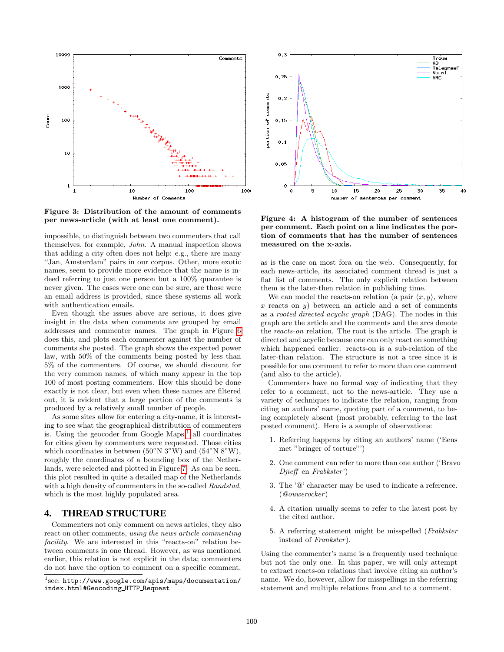

<span id="page-4-1"></span>Figure 3: Distribution of the amount of comments per news-article (with at least one comment).

impossible, to distinguish between two commenters that call themselves, for example, John. A manual inspection shows that adding a city often does not help: e.g., there are many "Jan, Amsterdam" pairs in our corpus. Other, more exotic names, seem to provide more evidence that the name is indeed referring to just one person but a 100% quarantee is never given. The cases were one can be sure, are those were an email address is provided, since these systems all work with authentication emails.

Even though the issues above are serious, it does give insight in the data when comments are grouped by email addresses and commenter names. The graph in Figure [6](#page-5-1) does this, and plots each commenter against the number of comments she posted. The graph shows the expected power law, with 50% of the comments being posted by less than 5% of the commenters. Of course, we should discount for the very common names, of which many appear in the top 100 of most posting commenters. How this should be done exactly is not clear, but even when these names are filtered out, it is evident that a large portion of the comments is produced by a relatively small number of people.

As some sites allow for entering a city-name, it is interesting to see what the geographical distribution of commenters is. Using the geocoder from Google  $Maps<sup>1</sup>$  $Maps<sup>1</sup>$  $Maps<sup>1</sup>$  all coordinates for cities given by commenters were requested. Those cities which coordinates in between ( $50°N$  3<sup>°</sup>W) and ( $54°N$  8<sup>°</sup>W), roughly the coordinates of a bounding box of the Netherlands, were selected and plotted in Figure [7.](#page-5-2) As can be seen, this plot resulted in quite a detailed map of the Netherlands with a high density of commenters in the so-called Randstad, which is the most highly populated area.

## <span id="page-4-0"></span>**4. THREAD STRUCTURE**

Commenters not only comment on news articles, they also react on other comments, using the news article commenting facility. We are interested in this "reacts-on" relation between comments in one thread. However, as was mentioned earlier, this relation is not explicit in the data; commenters do not have the option to comment on a specific comment,



<span id="page-4-2"></span>Figure 4: A histogram of the number of sentences per comment. Each point on a line indicates the portion of comments that has the number of sentences measured on the x-axis.

as is the case on most fora on the web. Consequently, for each news-article, its associated comment thread is just a flat list of comments. The only explicit relation between them is the later-then relation in publishing time.

We can model the reacts-on relation (a pair  $\langle x, y \rangle$ , where x reacts on y) between an article and a set of comments as a rooted directed acyclic graph (DAG). The nodes in this graph are the article and the comments and the arcs denote the reacts-on relation. The root is the article. The graph is directed and acyclic because one can only react on something which happened earlier: reacts-on is a sub-relation of the later-than relation. The structure is not a tree since it is possible for one comment to refer to more than one comment (and also to the article).

Commenters have no formal way of indicating that they refer to a comment, not to the news-article. They use a variety of techniques to indicate the relation, ranging from citing an authors' name, quoting part of a comment, to being completely absent (most probably, referring to the last posted comment). Here is a sample of observations:

- 1. Referring happens by citing an authors' name ('Eens met "bringer of torture"')
- 2. One comment can refer to more than one author ('Bravo Djieff en Frabkster')
- 3. The '@' character may be used to indicate a reference. (@ouwerocker)
- 4. A citation usually seems to refer to the latest post by the cited author.
- 5. A referring statement might be misspelled (Frabkster instead of Frankster).

Using the commenter's name is a frequently used technique but not the only one. In this paper, we will only attempt to extract reacts-on relations that involve citing an author's name. We do, however, allow for misspellings in the referring statement and multiple relations from and to a comment.

<span id="page-4-3"></span> $^1$ see: http://www.google.com/apis/maps/documentation/ index.html#Geocoding HTTP Request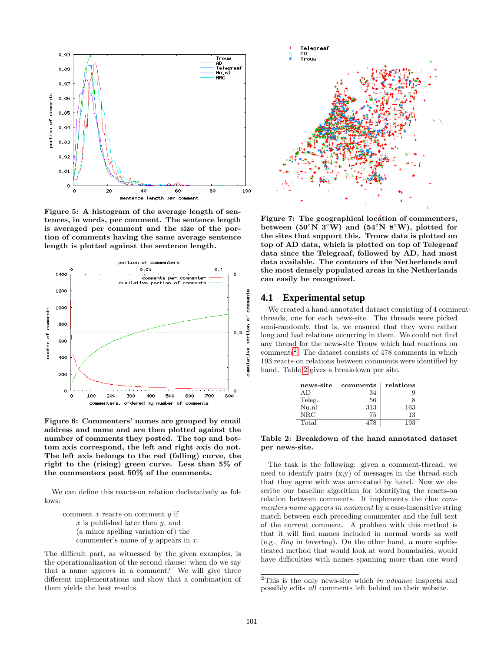

<span id="page-5-0"></span>Figure 5: A histogram of the average length of sentences, in words, per comment. The sentence length is averaged per comment and the size of the portion of comments having the same average sentence length is plotted against the sentence length.



<span id="page-5-1"></span>Figure 6: Commenters' names are grouped by email address and name and are then plotted against the number of comments they posted. The top and bottom axis correspond, the left and right axis do not. The left axis belongs to the red (falling) curve, the right to the (rising) green curve. Less than 5% of the commenters post 50% of the comments.

We can define this reacts-on relation declaratively as follows:

comment  $x$  reacts-on comment  $y$  if  $x$  is published later then  $y$ , and (a minor spelling variation of) the commenter's name of  $y$  appears in  $x$ .

The difficult part, as witnessed by the given examples, is the operationalization of the second clause: when do we say that a name appears in a comment? We will give three different implementations and show that a combination of them yields the best results.



<span id="page-5-2"></span>Figure 7: The geographical location of commenters, between (50<sup>°</sup>N 3<sup>°</sup>W) and (54<sup>°</sup>N 8<sup>°</sup>W), plotted for the sites that support this. Trouw data is plotted on top of AD data, which is plotted on top of Telegraaf data since the Telegraaf, followed by AD, had most data available. The contours of the Netherlands and the most densely populated areas in the Netherlands can easily be recognized.

#### **4.1 Experimental setup**

We created a hand-annotated dataset consisting of 4 commentthreads, one for each news-site. The threads were picked semi-randomly, that is, we ensured that they were rather long and had relations occurring in them. We could not find any thread for the news-site Trouw which had reactions on  $comments<sup>2</sup>$  $comments<sup>2</sup>$  $comments<sup>2</sup>$ . The dataset consists of 478 comments in which 193 reacts-on relations between comments were identified by hand. Table [2](#page-5-4) gives a breakdown per site.

<span id="page-5-4"></span>

| news-site | comments | relations |
|-----------|----------|-----------|
| A D       | 34       |           |
| Teleg.    | 56       |           |
| Nu.nl     | 313      | 163       |
| NRC       | 75       | 13        |
| Total     | 47×      | 193       |

Table 2: Breakdown of the hand annotated dataset per news-site.

The task is the following: given a comment-thread, we need to identify pairs  $(x,y)$  of messages in the thread such that they agree with was annotated by hand. Now we describe our baseline algorithm for identifying the reacts-on relation between comments. It implements the clue commenters name appears in comment by a case-insensitive string match between each preceding commenter and the full text of the current comment. A problem with this method is that it will find names included in normal words as well (e.g., Boy in loverboy). On the other hand, a more sophisticated method that would look at word boundaries, would have difficulties with names spanning more than one word

<span id="page-5-3"></span><sup>&</sup>lt;sup>2</sup>This is the only news-site which in advance inspects and possibly edits all comments left behind on their website.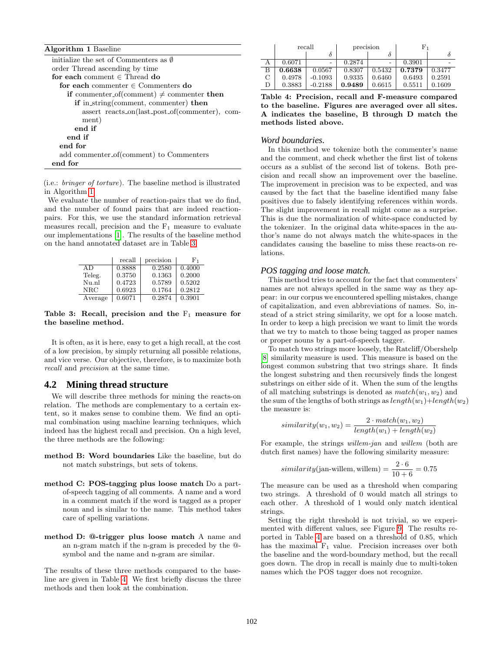| <b>Algorithm 1 Baseline</b>                     |
|-------------------------------------------------|
| initialize the set of Commenters as $\emptyset$ |
| order Thread ascending by time                  |
| for each comment $\in$ Thread do                |
| for each commenter $\in$ Commenters do          |
| if commenter_of(comment) $\neq$ commenter then  |
| if in_string(comment, commenter) then           |
| assert reacts_on(last_post_of(commenter), com-  |
| ment)                                           |
| end if                                          |
| end if                                          |
| end for                                         |
| add commenter_of(comment) to Commenters         |
| end for                                         |

<span id="page-6-0"></span>in Algorithm [1.](#page-6-0) (i.e.: bringer of torture). The baseline method is illustrated

We evaluate the number of reaction-pairs that we do find, and the number of found pairs that are indeed reactionpairs. For this, we use the standard information retrieval measures recall, precision and the  $F_1$  measure to evaluate our implementations [\[1\]](#page-8-8). The results of the baseline method on the hand annotated dataset are in Table [3.](#page-6-1)

|         | recall | precision | F1     |
|---------|--------|-----------|--------|
| A D     | 0.8888 | 0.2580    | 0.4000 |
| Teleg.  | 0.3750 | 0.1363    | 0.2000 |
| Nu.nl   | 0.4723 | 0.5789    | 0.5202 |
| NRC     | 0.6923 | 0.1764    | 0.2812 |
| Average | 0.6071 | 0.2874    | 0.3901 |

Table 3: Recall, precision and the  $F_1$  measure for the baseline method.

It is often, as it is here, easy to get a high recall, at the cost of a low precision, by simply returning all possible relations, and vice verse. Our objective, therefore, is to maximize both recall and precision at the same time.

#### **4.2 Mining thread structure**

We will describe three methods for mining the reacts-on relation. The methods are complementary to a certain extent, so it makes sense to combine them. We find an optimal combination using machine learning techniques, which indeed has the highest recall and precision. On a high level, the three methods are the following:

- method B: Word boundaries Like the baseline, but do not match substrings, but sets of tokens.
- method C: POS-tagging plus loose match Do a partof-speech tagging of all comments. A name and a word in a comment match if the word is tagged as a proper noun and is similar to the name. This method takes care of spelling variations.
- method D: @-trigger plus loose match A name and an n-gram match if the n-gram is preceded by the @ symbol and the name and n-gram are similar.

The results of these three methods compared to the baseline are given in Table [4.](#page-6-2) We first briefly discuss the three methods and then look at the combination.

<span id="page-6-2"></span>

|   | recall |                          | precision |        | $_{\rm F_1}$ |        |
|---|--------|--------------------------|-----------|--------|--------------|--------|
|   |        | δ                        |           |        |              |        |
|   | 0.6071 | $\overline{\phantom{a}}$ | 0.2874    |        | 0.3901       |        |
| в | 0.6638 | 0.0567                   | 0.8307    | 0.5432 | 0.7379       | 0.3477 |
| C | 0.4978 | $-0.1093$                | 0.9335    | 0.6460 | 0.6493       | 0.2591 |
| D | 0.3883 | $-0.2188$                | 0.9489    | 0.6615 | 0.5511       | 0.1609 |

Table 4: Precision, recall and F-measure compared to the baseline. Figures are averaged over all sites. A indicates the baseline, B through D match the methods listed above.

#### *Word boundaries.*

In this method we tokenize both the commenter's name and the comment, and check whether the first list of tokens occurs as a sublist of the second list of tokens. Both precision and recall show an improvement over the baseline. The improvement in precision was to be expected, and was caused by the fact that the baseline identified many false positives due to falsely identifying references within words. The slight improvement in recall might come as a surprise. This is due the normalization of white-space conducted by the tokenizer. In the original data white-spaces in the author's name do not always match the white-spaces in the candidates causing the baseline to miss these reacts-on relations.

#### *POS tagging and loose match.*

<span id="page-6-1"></span>This method tries to account for the fact that commenters' names are not always spelled in the same way as they appear: in our corpus we encountered spelling mistakes, change of capitalization, and even abbreviations of names. So, instead of a strict string similarity, we opt for a loose match. In order to keep a high precision we want to limit the words that we try to match to those being tagged as proper names or proper nouns by a part-of-speech tagger.

To match two strings more loosely, the Ratcliff/Obershelp [\[8\]](#page-8-9) similarity measure is used. This measure is based on the longest common substring that two strings share. It finds the longest substring and then recursively finds the longest substrings on either side of it. When the sum of the lengths of all matching substrings is denoted as  $match(w_1, w_2)$  and the sum of the lengths of both strings as  $length(w_1)+length(w_2)$ the measure is:

$$
similarity(w_1, w_2) = \frac{2 \cdot match(w_1, w_2)}{length(w_1) + length(w_2)}
$$

For example, the strings willem-jan and willem (both are dutch first names) have the following similarity measure:

$$
similarity(\text{jan-willem}, \text{willem}) = \frac{2 \cdot 6}{10 + 6} = 0.75
$$

The measure can be used as a threshold when comparing two strings. A threshold of 0 would match all strings to each other. A threshold of 1 would only match identical strings.

Setting the right threshold is not trivial, so we experimented with different values, see Figure [9.](#page-7-0) The results reported in Table [4](#page-6-2) are based on a threshold of 0.85, which has the maximal  $F_1$  value. Precision increases over both the baseline and the word-boundary method, but the recall goes down. The drop in recall is mainly due to multi-token names which the POS tagger does not recognize.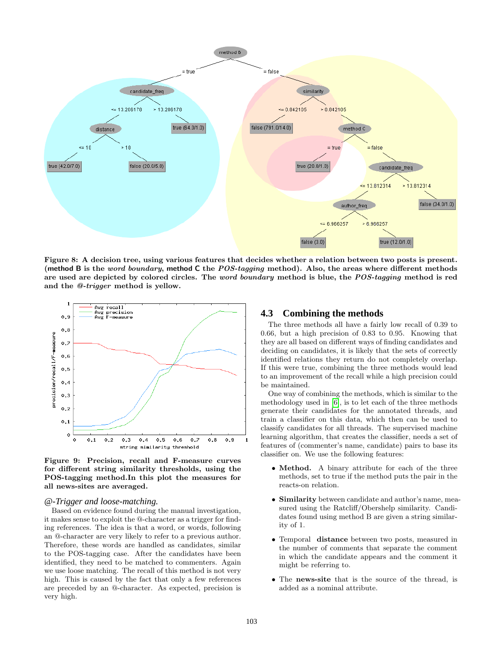

Figure 8: A decision tree, using various features that decides whether a relation between two posts is present. (method B is the *word boundary*, method C the  $POS-tagging$  method). Also, the areas where different methods are used are depicted by colored circles. The *word boundary* method is blue, the POS-tagging method is red and the @-trigger method is yellow.



<span id="page-7-0"></span>Figure 9: Precision, recall and F-measure curves for different string similarity thresholds, using the POS-tagging method.In this plot the measures for all news-sites are averaged.

#### *@-Trigger and loose-matching.*

Based on evidence found during the manual investigation, it makes sense to exploit the @-character as a trigger for finding references. The idea is that a word, or words, following an @-character are very likely to refer to a previous author. Therefore, these words are handled as candidates, similar to the POS-tagging case. After the candidates have been identified, they need to be matched to commenters. Again we use loose matching. The recall of this method is not very high. This is caused by the fact that only a few references are preceded by an @-character. As expected, precision is very high.

#### <span id="page-7-1"></span>**4.3 Combining the methods**

The three methods all have a fairly low recall of 0.39 to 0.66, but a high precision of 0.83 to 0.95. Knowing that they are all based on different ways of finding candidates and deciding on candidates, it is likely that the sets of correctly identified relations they return do not completely overlap. If this were true, combining the three methods would lead to an improvement of the recall while a high precision could be maintained.

One way of combining the methods, which is similar to the methodology used in [\[6\]](#page-8-7), is to let each of the three methods generate their candidates for the annotated threads, and train a classifier on this data, which then can be used to classify candidates for all threads. The supervised machine learning algorithm, that creates the classifier, needs a set of features of (commenter's name, candidate) pairs to base its classifier on. We use the following features:

- Method. A binary attribute for each of the three methods, set to true if the method puts the pair in the reacts-on relation.
- Similarity between candidate and author's name, measured using the Ratcliff/Obershelp similarity. Candidates found using method B are given a string similarity of 1.
- Temporal distance between two posts, measured in the number of comments that separate the comment in which the candidate appears and the comment it might be referring to.
- The news-site that is the source of the thread, is added as a nominal attribute.